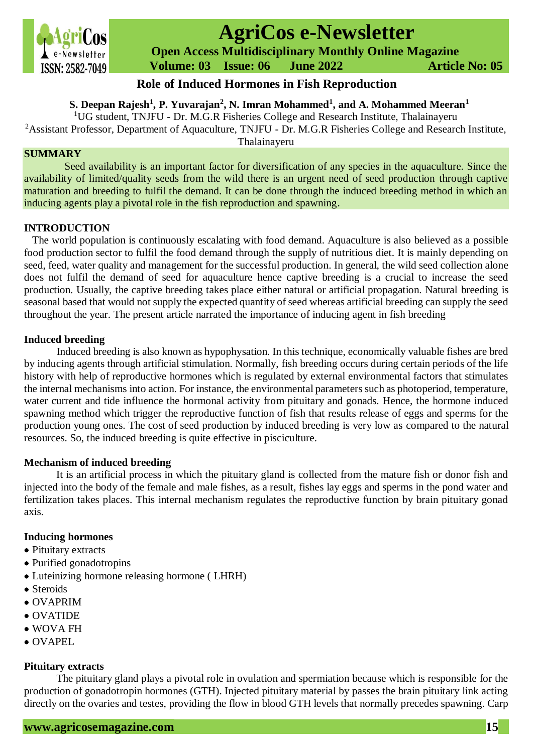

# **AgriCos e-Newsletter**

 **Open Access Multidisciplinary Monthly Online Magazine**

 **Volume: 03 Issue: 06 June 2022 Article No: 05**

# **Role of Induced Hormones in Fish Reproduction**

**S. Deepan Rajesh<sup>1</sup> , P. Yuvarajan<sup>2</sup> , N. Imran Mohammed<sup>1</sup> , and A. Mohammed Meeran<sup>1</sup>**

<sup>1</sup>UG student, TNJFU - Dr. M.G.R Fisheries College and Research Institute, Thalainayeru

<sup>2</sup>Assistant Professor, Department of Aquaculture, TNJFU - Dr. M.G.R Fisheries College and Research Institute, Thalainayeru

# **SUMMARY**

Seed availability is an important factor for diversification of any species in the aquaculture. Since the availability of limited/quality seeds from the wild there is an urgent need of seed production through captive maturation and breeding to fulfil the demand. It can be done through the induced breeding method in which an inducing agents play a pivotal role in the fish reproduction and spawning.

# **INTRODUCTION**

The world population is continuously escalating with food demand. Aquaculture is also believed as a possible food production sector to fulfil the food demand through the supply of nutritious diet. It is mainly depending on seed, feed, water quality and management for the successful production. In general, the wild seed collection alone does not fulfil the demand of seed for aquaculture hence captive breeding is a crucial to increase the seed production. Usually, the captive breeding takes place either natural or artificial propagation. Natural breeding is seasonal based that would not supply the expected quantity of seed whereas artificial breeding can supply the seed throughout the year. The present article narrated the importance of inducing agent in fish breeding

# **Induced breeding**

Induced breeding is also known as hypophysation. In this technique, economically valuable fishes are bred by inducing agents through artificial stimulation. Normally, fish breeding occurs during certain periods of the life history with help of reproductive hormones which is regulated by external environmental factors that stimulates the internal mechanisms into action. For instance, the environmental parameters such as photoperiod, temperature, water current and tide influence the hormonal activity from pituitary and gonads. Hence, the hormone induced spawning method which trigger the reproductive function of fish that results release of eggs and sperms for the production young ones. The cost of seed production by induced breeding is very low as compared to the natural resources. So, the induced breeding is quite effective in pisciculture.

# **Mechanism of induced breeding**

It is an artificial process in which the pituitary gland is collected from the mature fish or donor fish and injected into the body of the female and male fishes, as a result, fishes lay eggs and sperms in the pond water and fertilization takes places. This internal mechanism regulates the reproductive function by brain pituitary gonad axis.

# **Inducing hormones**

- Pituitary extracts
- Purified gonadotropins
- Luteinizing hormone releasing hormone ( LHRH)
- Steroids
- OVAPRIM
- OVATIDE
- WOVA FH
- OVAPEL

# **Pituitary extracts**

The pituitary gland plays a pivotal role in ovulation and spermiation because which is responsible for the production of gonadotropin hormones (GTH). Injected pituitary material by passes the brain pituitary link acting directly on the ovaries and testes, providing the flow in blood GTH levels that normally precedes spawning. Carp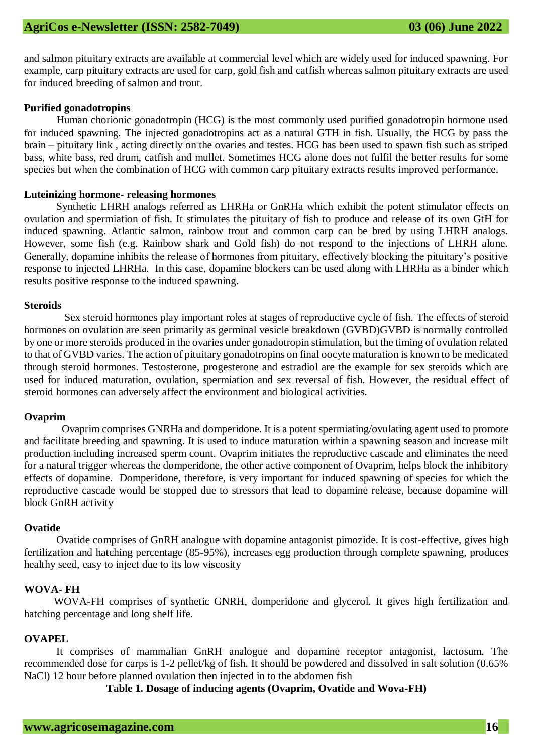and salmon pituitary extracts are available at commercial level which are widely used for induced spawning. For example, carp pituitary extracts are used for carp, gold fish and catfish whereas salmon pituitary extracts are used for induced breeding of salmon and trout.

#### **Purified gonadotropins**

Human chorionic gonadotropin (HCG) is the most commonly used purified gonadotropin hormone used for induced spawning. The injected gonadotropins act as a natural GTH in fish. Usually, the HCG by pass the brain – pituitary link , acting directly on the ovaries and testes. HCG has been used to spawn fish such as striped bass, white bass, red drum, catfish and mullet. Sometimes HCG alone does not fulfil the better results for some species but when the combination of HCG with common carp pituitary extracts results improved performance.

#### **Luteinizing hormone- releasing hormones**

Synthetic LHRH analogs referred as LHRHa or GnRHa which exhibit the potent stimulator effects on ovulation and spermiation of fish. It stimulates the pituitary of fish to produce and release of its own GtH for induced spawning. Atlantic salmon, rainbow trout and common carp can be bred by using LHRH analogs. However, some fish (e.g. Rainbow shark and Gold fish) do not respond to the injections of LHRH alone. Generally, dopamine inhibits the release of hormones from pituitary, effectively blocking the pituitary's positive response to injected LHRHa. In this case, dopamine blockers can be used along with LHRHa as a binder which results positive response to the induced spawning.

#### **Steroids**

Sex steroid hormones play important roles at stages of reproductive cycle of fish. The effects of steroid hormones on ovulation are seen primarily as germinal vesicle breakdown (GVBD)GVBD is normally controlled by one or more steroids produced in the ovaries under gonadotropin stimulation, but the timing of ovulation related to that of GVBD varies. The action of pituitary gonadotropins on final oocyte maturation is known to be medicated through steroid hormones. Testosterone, progesterone and estradiol are the example for sex steroids which are used for induced maturation, ovulation, spermiation and sex reversal of fish. However, the residual effect of steroid hormones can adversely affect the environment and biological activities.

#### **Ovaprim**

Ovaprim comprises GNRHa and domperidone. It is a potent spermiating/ovulating agent used to promote and facilitate breeding and spawning. It is used to induce maturation within a spawning season and increase milt production including increased sperm count. Ovaprim initiates the reproductive cascade and eliminates the need for a natural trigger whereas the domperidone, the other active component of Ovaprim, helps block the inhibitory effects of dopamine. Domperidone, therefore, is very important for induced spawning of species for which the reproductive cascade would be stopped due to stressors that lead to dopamine release, because dopamine will block GnRH activity

#### **Ovatide**

Ovatide comprises of GnRH analogue with dopamine antagonist pimozide. It is cost-effective, gives high fertilization and hatching percentage (85-95%), increases egg production through complete spawning, produces healthy seed, easy to inject due to its low viscosity

# **WOVA- FH**

WOVA-FH comprises of synthetic GNRH, domperidone and glycerol. It gives high fertilization and hatching percentage and long shelf life.

#### **OVAPEL**

It comprises of mammalian GnRH analogue and dopamine receptor antagonist, lactosum. The recommended dose for carps is 1-2 pellet/kg of fish. It should be powdered and dissolved in salt solution (0.65% NaCl) 12 hour before planned ovulation then injected in to the abdomen fish

**Table 1. Dosage of inducing agents (Ovaprim, Ovatide and Wova-FH)**